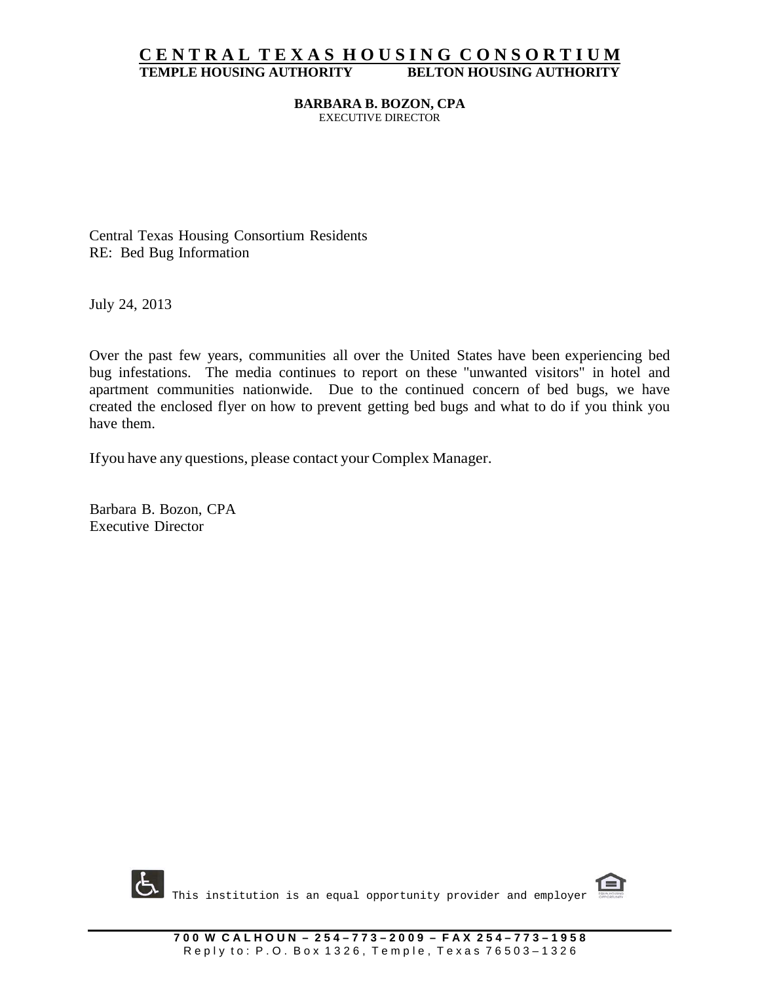## **C E N T R A L T E X A S H O U S I N G C O N S O R T I U M TEMPLE HOUSING AUTHORITY BELTON HOUSING AUTHORITY**

#### **BARBARA B. BOZON, CPA** EXECUTIVE DIRECTOR

Central Texas Housing Consortium Residents RE: Bed Bug Information

July 24, 2013

Over the past few years, communities all over the United States have been experiencing bed bug infestations. The media continues to report on these "unwanted visitors" in hotel and apartment communities nationwide. Due to the continued concern of bed bugs, we have created the enclosed flyer on how to prevent getting bed bugs and what to do if you think you have them.

Ifyou have any questions, please contact your Complex Manager.

Barbara B. Bozon, CPA Executive Director